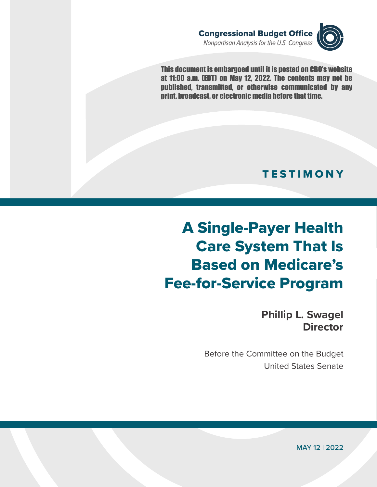

This document is embargoed until it is posted on CBO's website at 11:00 a.m. (EDT) on May 12, 2022. The contents may not be published, transmitted, or otherwise communicated by any print, broadcast, or electronic media before that time.

## **TESTIMONY**

## A Single-Payer Health Care System That Is Based on Medicare's Fee-for-Service Program

**Phillip L. Swagel Director**

Before the Committee on the Budget United States Senate

MAY 12 | 2022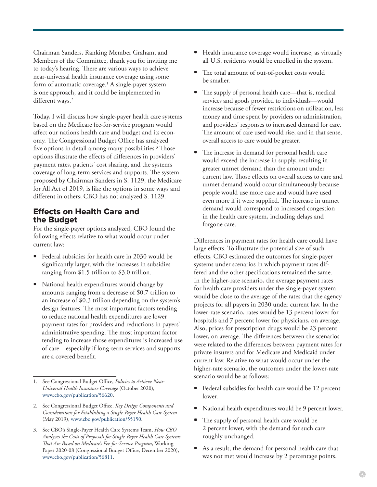Chairman Sanders, Ranking Member Graham, and Members of the Committee, thank you for inviting me to today's hearing. There are various ways to achieve near-universal health insurance coverage using some form of automatic coverage.1 A single-payer system is one approach, and it could be implemented in different ways.<sup>2</sup>

Today, I will discuss how single-payer health care systems based on the Medicare fee-for-service program would affect our nation's health care and budget and its economy. The Congressional Budget Office has analyzed five options in detail among many possibilities. $3$  Those options illustrate the effects of differences in providers' payment rates, patients' cost sharing, and the system's coverage of long-term services and supports. The system proposed by Chairman Sanders in S. 1129, the Medicare for All Act of 2019, is like the options in some ways and different in others; CBO has not analyzed S. 1129.

## Effects on Health Care and the Budget

For the single-payer options analyzed, CBO found the following effects relative to what would occur under current law:

- Federal subsidies for health care in 2030 would be significantly larger, with the increases in subsidies ranging from \$1.5 trillion to \$3.0 trillion.
- National health expenditures would change by amounts ranging from a decrease of \$0.7 trillion to an increase of \$0.3 trillion depending on the system's design features. The most important factors tending to reduce national health expenditures are lower payment rates for providers and reductions in payers' administrative spending. The most important factor tending to increase those expenditures is increased use of care—especially if long-term services and supports are a covered benefit.
- Health insurance coverage would increase, as virtually all U.S. residents would be enrolled in the system.
- The total amount of out-of-pocket costs would be smaller.
- The supply of personal health care—that is, medical services and goods provided to individuals—would increase because of fewer restrictions on utilization, less money and time spent by providers on administration, and providers' responses to increased demand for care. The amount of care used would rise, and in that sense, overall access to care would be greater.
- The increase in demand for personal health care would exceed the increase in supply, resulting in greater unmet demand than the amount under current law. Those effects on overall access to care and unmet demand would occur simultaneously because people would use more care and would have used even more if it were supplied. The increase in unmet demand would correspond to increased congestion in the health care system, including delays and forgone care.

Differences in payment rates for health care could have large effects. To illustrate the potential size of such effects, CBO estimated the outcomes for single-payer systems under scenarios in which payment rates differed and the other specifications remained the same. In the higher-rate scenario, the average payment rates for health care providers under the single-payer system would be close to the average of the rates that the agency projects for all payers in 2030 under current law. In the lower-rate scenario, rates would be 13 percent lower for hospitals and 7 percent lower for physicians, on average. Also, prices for prescription drugs would be 23 percent lower, on average. The differences between the scenarios were related to the differences between payment rates for private insurers and for Medicare and Medicaid under current law. Relative to what would occur under the higher-rate scenario, the outcomes under the lower-rate scenario would be as follows:

- Federal subsidies for health care would be 12 percent lower.
- National health expenditures would be 9 percent lower.
- The supply of personal health care would be 2 percent lower, with the demand for such care roughly unchanged.
- As a result, the demand for personal health care that was not met would increase by 2 percentage points.

<sup>1.</sup> See Congressional Budget Office, *Policies to Achieve Near-Universal Health Insurance Coverage* (October 2020), [www.cbo.gov/publication/56620](http://www.cbo.gov/publication/56620).

<sup>2.</sup> See Congressional Budget Office, *Key Design Components and Considerations for Establishing a Single-Payer Health Care System* (May 2019), [www.cbo.gov/publication/55150](http://www.cbo.gov/publication/55150).

<sup>3.</sup> See CBO's Single-Payer Health Care Systems Team, *How CBO Analyzes the Costs of Proposals for Single-Payer Health Care Systems That Are Based on Medicare's Fee-for-Service Program*, Working Paper 2020-08 (Congressional Budget Office, December 2020), [www.cbo.gov/publication/56811](http://www.cbo.gov/publication/56811).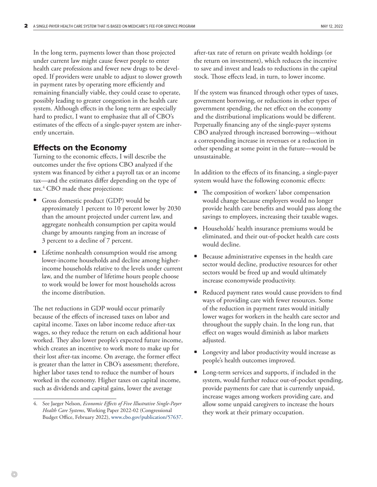In the long term, payments lower than those projected under current law might cause fewer people to enter health care professions and fewer new drugs to be developed. If providers were unable to adjust to slower growth in payment rates by operating more efficiently and remaining financially viable, they could cease to operate, possibly leading to greater congestion in the health care system. Although effects in the long term are especially hard to predict, I want to emphasize that all of CBO's estimates of the effects of a single-payer system are inherently uncertain.

## Effects on the Economy

Turning to the economic effects, I will describe the outcomes under the five options CBO analyzed if the system was financed by either a payroll tax or an income tax—and the estimates differ depending on the type of tax.<sup>4</sup> CBO made these projections:

- Gross domestic product (GDP) would be approximately 1 percent to 10 percent lower by 2030 than the amount projected under current law, and aggregate nonhealth consumption per capita would change by amounts ranging from an increase of 3 percent to a decline of 7 percent.
- Lifetime nonhealth consumption would rise among lower-income households and decline among higherincome households relative to the levels under current law, and the number of lifetime hours people choose to work would be lower for most households across the income distribution.

The net reductions in GDP would occur primarily because of the effects of increased taxes on labor and capital income. Taxes on labor income reduce after-tax wages, so they reduce the return on each additional hour worked. They also lower people's expected future income, which creates an incentive to work more to make up for their lost after-tax income. On average, the former effect is greater than the latter in CBO's assessment; therefore, higher labor taxes tend to reduce the number of hours worked in the economy. Higher taxes on capital income, such as dividends and capital gains, lower the average

after-tax rate of return on private wealth holdings (or the return on investment), which reduces the incentive to save and invest and leads to reductions in the capital stock. Those effects lead, in turn, to lower income.

If the system was financed through other types of taxes, government borrowing, or reductions in other types of government spending, the net effect on the economy and the distributional implications would be different. Perpetually financing any of the single-payer systems CBO analyzed through increased borrowing—without a corresponding increase in revenues or a reduction in other spending at some point in the future—would be unsustainable.

In addition to the effects of its financing, a single-payer system would have the following economic effects:

- The composition of workers' labor compensation would change because employers would no longer provide health care benefits and would pass along the savings to employees, increasing their taxable wages.
- Households' health insurance premiums would be eliminated, and their out-of-pocket health care costs would decline.
- Because administrative expenses in the health care sector would decline, productive resources for other sectors would be freed up and would ultimately increase economywide productivity.
- Reduced payment rates would cause providers to find ways of providing care with fewer resources. Some of the reduction in payment rates would initially lower wages for workers in the health care sector and throughout the supply chain. In the long run, that effect on wages would diminish as labor markets adjusted.
- Longevity and labor productivity would increase as people's health outcomes improved.
- Long-term services and supports, if included in the system, would further reduce out-of-pocket spending, provide payments for care that is currently unpaid, increase wages among workers providing care, and allow some unpaid caregivers to increase the hours they work at their primary occupation.

<sup>4.</sup> See Jaeger Nelson, *Economic Effects of Five Illustrative Single-Payer Health Care Systems*, Working Paper 2022-02 (Congressional Budget Office, February 2022), [www.cbo.gov/publication/57637.](http://www.cbo.gov/publication/57637)